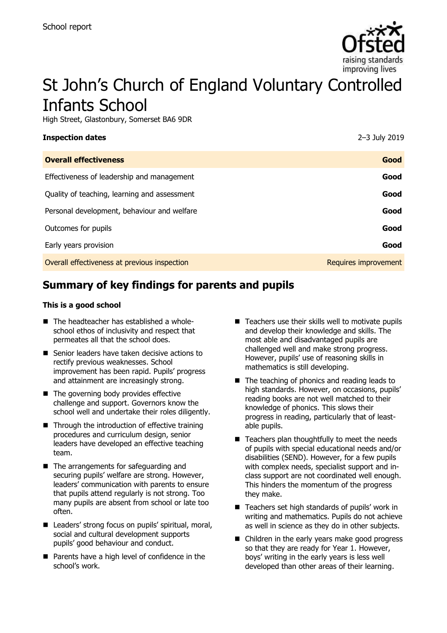

# St John's Church of England Voluntary Controlled Infants School

High Street, Glastonbury, Somerset BA6 9DR

| <b>Inspection dates</b>                      | 2-3 July 2019        |
|----------------------------------------------|----------------------|
| <b>Overall effectiveness</b>                 | Good                 |
| Effectiveness of leadership and management   | Good                 |
| Quality of teaching, learning and assessment | Good                 |
| Personal development, behaviour and welfare  | Good                 |
| Outcomes for pupils                          | Good                 |
| Early years provision                        | Good                 |
| Overall effectiveness at previous inspection | Requires improvement |

# **Summary of key findings for parents and pupils**

#### **This is a good school**

- The headteacher has established a wholeschool ethos of inclusivity and respect that permeates all that the school does.
- Senior leaders have taken decisive actions to rectify previous weaknesses. School improvement has been rapid. Pupils' progress and attainment are increasingly strong.
- The governing body provides effective challenge and support. Governors know the school well and undertake their roles diligently.
- Through the introduction of effective training procedures and curriculum design, senior leaders have developed an effective teaching team.
- The arrangements for safeguarding and securing pupils' welfare are strong. However, leaders' communication with parents to ensure that pupils attend regularly is not strong. Too many pupils are absent from school or late too often.
- Leaders' strong focus on pupils' spiritual, moral, social and cultural development supports pupils' good behaviour and conduct.
- Parents have a high level of confidence in the school's work.
- Teachers use their skills well to motivate pupils and develop their knowledge and skills. The most able and disadvantaged pupils are challenged well and make strong progress. However, pupils' use of reasoning skills in mathematics is still developing.
- The teaching of phonics and reading leads to high standards. However, on occasions, pupils' reading books are not well matched to their knowledge of phonics. This slows their progress in reading, particularly that of leastable pupils.
- Teachers plan thoughtfully to meet the needs of pupils with special educational needs and/or disabilities (SEND). However, for a few pupils with complex needs, specialist support and inclass support are not coordinated well enough. This hinders the momentum of the progress they make.
- Teachers set high standards of pupils' work in writing and mathematics. Pupils do not achieve as well in science as they do in other subjects.
- Children in the early years make good progress so that they are ready for Year 1. However, boys' writing in the early years is less well developed than other areas of their learning.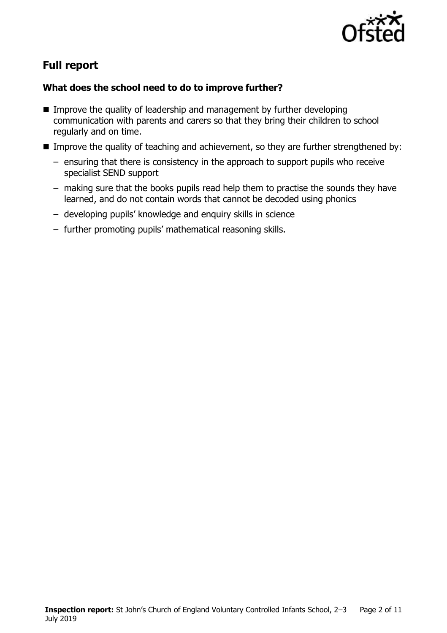

# **Full report**

#### **What does the school need to do to improve further?**

- Improve the quality of leadership and management by further developing communication with parents and carers so that they bring their children to school regularly and on time.
- Improve the quality of teaching and achievement, so they are further strengthened by:
	- ensuring that there is consistency in the approach to support pupils who receive specialist SEND support
	- making sure that the books pupils read help them to practise the sounds they have learned, and do not contain words that cannot be decoded using phonics
	- developing pupils' knowledge and enquiry skills in science
	- further promoting pupils' mathematical reasoning skills.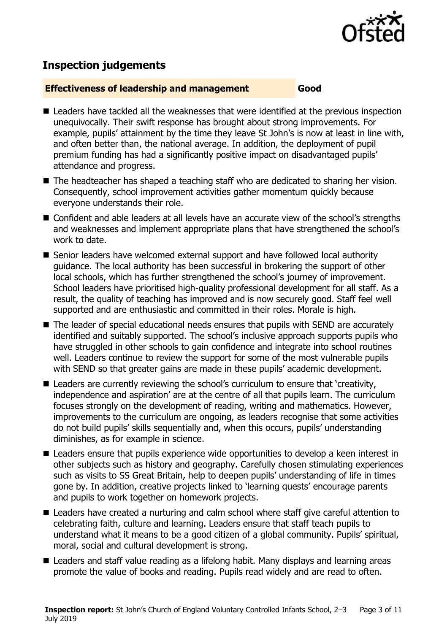

# **Inspection judgements**

#### **Effectiveness of leadership and management Good**

- Leaders have tackled all the weaknesses that were identified at the previous inspection unequivocally. Their swift response has brought about strong improvements. For example, pupils' attainment by the time they leave St John's is now at least in line with, and often better than, the national average. In addition, the deployment of pupil premium funding has had a significantly positive impact on disadvantaged pupils' attendance and progress.
- The headteacher has shaped a teaching staff who are dedicated to sharing her vision. Consequently, school improvement activities gather momentum quickly because everyone understands their role.
- Confident and able leaders at all levels have an accurate view of the school's strengths and weaknesses and implement appropriate plans that have strengthened the school's work to date.
- Senior leaders have welcomed external support and have followed local authority guidance. The local authority has been successful in brokering the support of other local schools, which has further strengthened the school's journey of improvement. School leaders have prioritised high-quality professional development for all staff. As a result, the quality of teaching has improved and is now securely good. Staff feel well supported and are enthusiastic and committed in their roles. Morale is high.
- The leader of special educational needs ensures that pupils with SEND are accurately identified and suitably supported. The school's inclusive approach supports pupils who have struggled in other schools to gain confidence and integrate into school routines well. Leaders continue to review the support for some of the most vulnerable pupils with SEND so that greater gains are made in these pupils' academic development.
- Leaders are currently reviewing the school's curriculum to ensure that 'creativity, independence and aspiration' are at the centre of all that pupils learn. The curriculum focuses strongly on the development of reading, writing and mathematics. However, improvements to the curriculum are ongoing, as leaders recognise that some activities do not build pupils' skills sequentially and, when this occurs, pupils' understanding diminishes, as for example in science.
- Leaders ensure that pupils experience wide opportunities to develop a keen interest in other subjects such as history and geography. Carefully chosen stimulating experiences such as visits to SS Great Britain, help to deepen pupils' understanding of life in times gone by. In addition, creative projects linked to 'learning quests' encourage parents and pupils to work together on homework projects.
- Leaders have created a nurturing and calm school where staff give careful attention to celebrating faith, culture and learning. Leaders ensure that staff teach pupils to understand what it means to be a good citizen of a global community. Pupils' spiritual, moral, social and cultural development is strong.
- Leaders and staff value reading as a lifelong habit. Many displays and learning areas promote the value of books and reading. Pupils read widely and are read to often.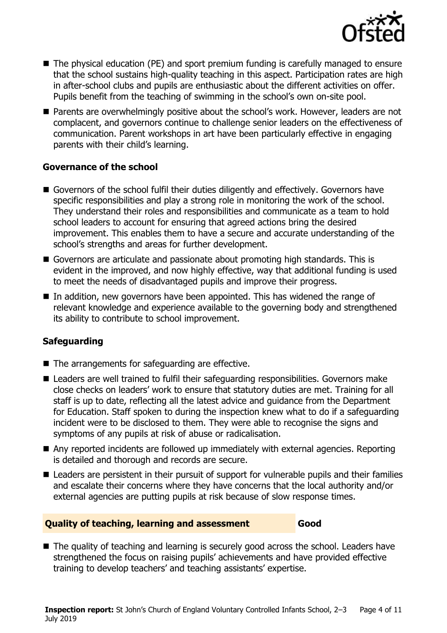

- The physical education (PE) and sport premium funding is carefully managed to ensure that the school sustains high-quality teaching in this aspect. Participation rates are high in after-school clubs and pupils are enthusiastic about the different activities on offer. Pupils benefit from the teaching of swimming in the school's own on-site pool.
- Parents are overwhelmingly positive about the school's work. However, leaders are not complacent, and governors continue to challenge senior leaders on the effectiveness of communication. Parent workshops in art have been particularly effective in engaging parents with their child's learning.

#### **Governance of the school**

- Governors of the school fulfil their duties diligently and effectively. Governors have specific responsibilities and play a strong role in monitoring the work of the school. They understand their roles and responsibilities and communicate as a team to hold school leaders to account for ensuring that agreed actions bring the desired improvement. This enables them to have a secure and accurate understanding of the school's strengths and areas for further development.
- Governors are articulate and passionate about promoting high standards. This is evident in the improved, and now highly effective, way that additional funding is used to meet the needs of disadvantaged pupils and improve their progress.
- In addition, new governors have been appointed. This has widened the range of relevant knowledge and experience available to the governing body and strengthened its ability to contribute to school improvement.

### **Safeguarding**

- The arrangements for safeguarding are effective.
- Leaders are well trained to fulfil their safeguarding responsibilities. Governors make close checks on leaders' work to ensure that statutory duties are met. Training for all staff is up to date, reflecting all the latest advice and guidance from the Department for Education. Staff spoken to during the inspection knew what to do if a safeguarding incident were to be disclosed to them. They were able to recognise the signs and symptoms of any pupils at risk of abuse or radicalisation.
- Any reported incidents are followed up immediately with external agencies. Reporting is detailed and thorough and records are secure.
- Leaders are persistent in their pursuit of support for vulnerable pupils and their families and escalate their concerns where they have concerns that the local authority and/or external agencies are putting pupils at risk because of slow response times.

#### **Quality of teaching, learning and assessment Good**

■ The quality of teaching and learning is securely good across the school. Leaders have strengthened the focus on raising pupils' achievements and have provided effective training to develop teachers' and teaching assistants' expertise.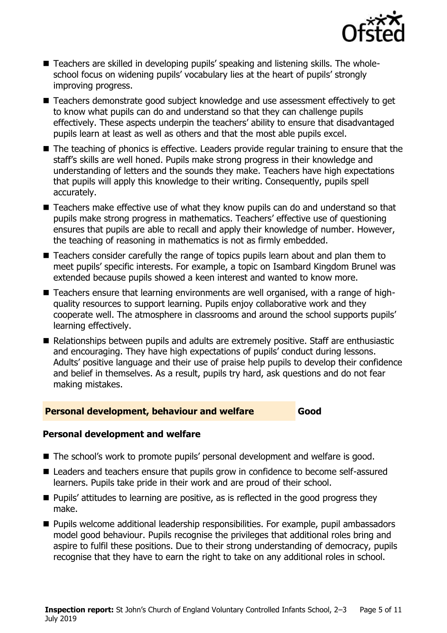

- Teachers are skilled in developing pupils' speaking and listening skills. The wholeschool focus on widening pupils' vocabulary lies at the heart of pupils' strongly improving progress.
- Teachers demonstrate good subject knowledge and use assessment effectively to get to know what pupils can do and understand so that they can challenge pupils effectively. These aspects underpin the teachers' ability to ensure that disadvantaged pupils learn at least as well as others and that the most able pupils excel.
- The teaching of phonics is effective. Leaders provide regular training to ensure that the staff's skills are well honed. Pupils make strong progress in their knowledge and understanding of letters and the sounds they make. Teachers have high expectations that pupils will apply this knowledge to their writing. Consequently, pupils spell accurately.
- Teachers make effective use of what they know pupils can do and understand so that pupils make strong progress in mathematics. Teachers' effective use of questioning ensures that pupils are able to recall and apply their knowledge of number. However, the teaching of reasoning in mathematics is not as firmly embedded.
- Teachers consider carefully the range of topics pupils learn about and plan them to meet pupils' specific interests. For example, a topic on Isambard Kingdom Brunel was extended because pupils showed a keen interest and wanted to know more.
- Teachers ensure that learning environments are well organised, with a range of highquality resources to support learning. Pupils enjoy collaborative work and they cooperate well. The atmosphere in classrooms and around the school supports pupils' learning effectively.
- Relationships between pupils and adults are extremely positive. Staff are enthusiastic and encouraging. They have high expectations of pupils' conduct during lessons. Adults' positive language and their use of praise help pupils to develop their confidence and belief in themselves. As a result, pupils try hard, ask questions and do not fear making mistakes.

#### **Personal development, behaviour and welfare Good**

#### **Personal development and welfare**

- The school's work to promote pupils' personal development and welfare is good.
- Leaders and teachers ensure that pupils grow in confidence to become self-assured learners. Pupils take pride in their work and are proud of their school.
- Pupils' attitudes to learning are positive, as is reflected in the good progress they make.
- Pupils welcome additional leadership responsibilities. For example, pupil ambassadors model good behaviour. Pupils recognise the privileges that additional roles bring and aspire to fulfil these positions. Due to their strong understanding of democracy, pupils recognise that they have to earn the right to take on any additional roles in school.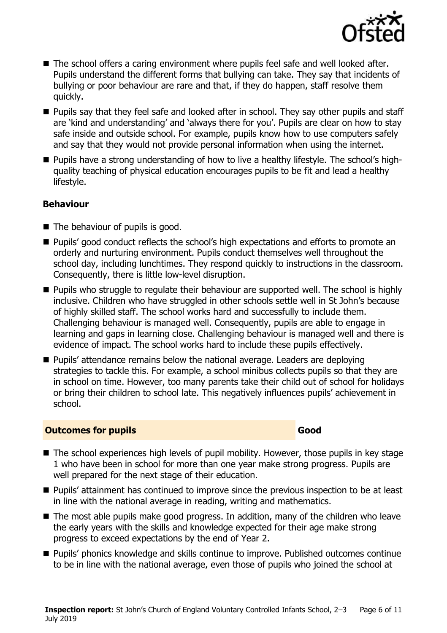

- The school offers a caring environment where pupils feel safe and well looked after. Pupils understand the different forms that bullying can take. They say that incidents of bullying or poor behaviour are rare and that, if they do happen, staff resolve them quickly.
- Pupils say that they feel safe and looked after in school. They say other pupils and staff are 'kind and understanding' and 'always there for you'. Pupils are clear on how to stay safe inside and outside school. For example, pupils know how to use computers safely and say that they would not provide personal information when using the internet.
- Pupils have a strong understanding of how to live a healthy lifestyle. The school's highquality teaching of physical education encourages pupils to be fit and lead a healthy lifestyle.

#### **Behaviour**

- The behaviour of pupils is good.
- Pupils' good conduct reflects the school's high expectations and efforts to promote an orderly and nurturing environment. Pupils conduct themselves well throughout the school day, including lunchtimes. They respond quickly to instructions in the classroom. Consequently, there is little low-level disruption.
- Pupils who struggle to regulate their behaviour are supported well. The school is highly inclusive. Children who have struggled in other schools settle well in St John's because of highly skilled staff. The school works hard and successfully to include them. Challenging behaviour is managed well. Consequently, pupils are able to engage in learning and gaps in learning close. Challenging behaviour is managed well and there is evidence of impact. The school works hard to include these pupils effectively.
- Pupils' attendance remains below the national average. Leaders are deploying strategies to tackle this. For example, a school minibus collects pupils so that they are in school on time. However, too many parents take their child out of school for holidays or bring their children to school late. This negatively influences pupils' achievement in school.

#### **Outcomes for pupils Good**

- The school experiences high levels of pupil mobility. However, those pupils in key stage 1 who have been in school for more than one year make strong progress. Pupils are well prepared for the next stage of their education.
- Pupils' attainment has continued to improve since the previous inspection to be at least in line with the national average in reading, writing and mathematics.
- The most able pupils make good progress. In addition, many of the children who leave the early years with the skills and knowledge expected for their age make strong progress to exceed expectations by the end of Year 2.
- Pupils' phonics knowledge and skills continue to improve. Published outcomes continue to be in line with the national average, even those of pupils who joined the school at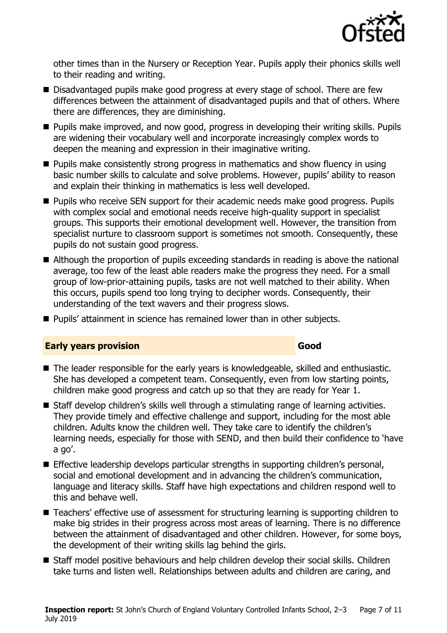

other times than in the Nursery or Reception Year. Pupils apply their phonics skills well to their reading and writing.

- Disadvantaged pupils make good progress at every stage of school. There are few differences between the attainment of disadvantaged pupils and that of others. Where there are differences, they are diminishing.
- Pupils make improved, and now good, progress in developing their writing skills. Pupils are widening their vocabulary well and incorporate increasingly complex words to deepen the meaning and expression in their imaginative writing.
- Pupils make consistently strong progress in mathematics and show fluency in using basic number skills to calculate and solve problems. However, pupils' ability to reason and explain their thinking in mathematics is less well developed.
- Pupils who receive SEN support for their academic needs make good progress. Pupils with complex social and emotional needs receive high-quality support in specialist groups. This supports their emotional development well. However, the transition from specialist nurture to classroom support is sometimes not smooth. Consequently, these pupils do not sustain good progress.
- Although the proportion of pupils exceeding standards in reading is above the national average, too few of the least able readers make the progress they need. For a small group of low-prior-attaining pupils, tasks are not well matched to their ability. When this occurs, pupils spend too long trying to decipher words. Consequently, their understanding of the text wavers and their progress slows.
- Pupils' attainment in science has remained lower than in other subjects.

#### **Early years provision Good Good**

- The leader responsible for the early years is knowledgeable, skilled and enthusiastic. She has developed a competent team. Consequently, even from low starting points, children make good progress and catch up so that they are ready for Year 1.
- Staff develop children's skills well through a stimulating range of learning activities. They provide timely and effective challenge and support, including for the most able children. Adults know the children well. They take care to identify the children's learning needs, especially for those with SEND, and then build their confidence to 'have a go'.
- Effective leadership develops particular strengths in supporting children's personal, social and emotional development and in advancing the children's communication, language and literacy skills. Staff have high expectations and children respond well to this and behave well.
- Teachers' effective use of assessment for structuring learning is supporting children to make big strides in their progress across most areas of learning. There is no difference between the attainment of disadvantaged and other children. However, for some boys, the development of their writing skills lag behind the girls.
- Staff model positive behaviours and help children develop their social skills. Children take turns and listen well. Relationships between adults and children are caring, and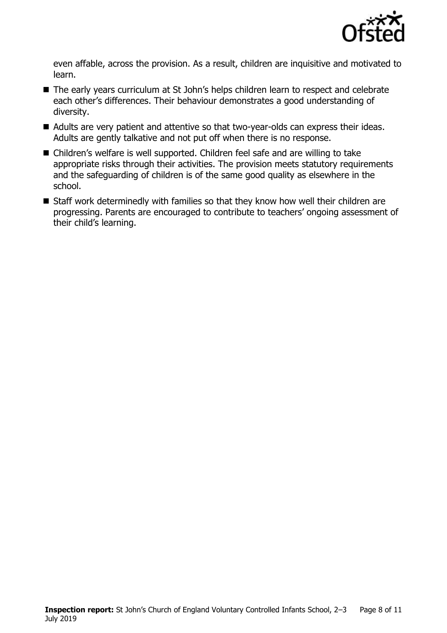

even affable, across the provision. As a result, children are inquisitive and motivated to learn.

- The early years curriculum at St John's helps children learn to respect and celebrate each other's differences. Their behaviour demonstrates a good understanding of diversity.
- Adults are very patient and attentive so that two-year-olds can express their ideas. Adults are gently talkative and not put off when there is no response.
- Children's welfare is well supported. Children feel safe and are willing to take appropriate risks through their activities. The provision meets statutory requirements and the safeguarding of children is of the same good quality as elsewhere in the school.
- Staff work determinedly with families so that they know how well their children are progressing. Parents are encouraged to contribute to teachers' ongoing assessment of their child's learning.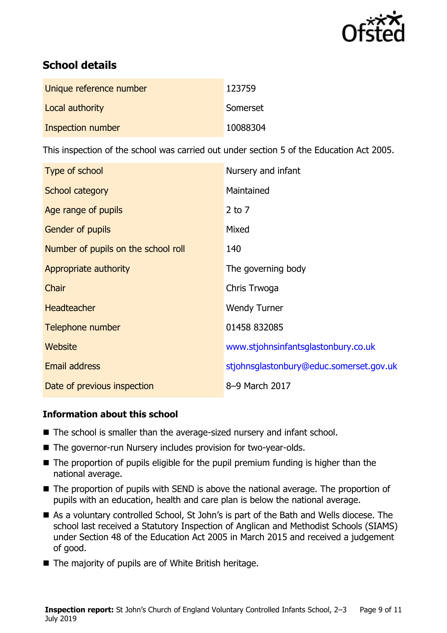

# **School details**

| Unique reference number | 123759   |
|-------------------------|----------|
| Local authority         | Somerset |
| Inspection number       | 10088304 |

This inspection of the school was carried out under section 5 of the Education Act 2005.

| Type of school                      | Nursery and infant                      |
|-------------------------------------|-----------------------------------------|
| School category                     | Maintained                              |
| Age range of pupils                 | 2 to $7$                                |
| <b>Gender of pupils</b>             | Mixed                                   |
| Number of pupils on the school roll | 140                                     |
| Appropriate authority               | The governing body                      |
| Chair                               | Chris Trwoga                            |
| <b>Headteacher</b>                  | <b>Wendy Turner</b>                     |
| Telephone number                    | 01458 832085                            |
| <b>Website</b>                      | www.stjohnsinfantsglastonbury.co.uk     |
| <b>Email address</b>                | stjohnsglastonbury@educ.somerset.gov.uk |
| Date of previous inspection         | 8-9 March 2017                          |

### **Information about this school**

- The school is smaller than the average-sized nursery and infant school.
- The governor-run Nursery includes provision for two-year-olds.
- The proportion of pupils eligible for the pupil premium funding is higher than the national average.
- The proportion of pupils with SEND is above the national average. The proportion of pupils with an education, health and care plan is below the national average.
- As a voluntary controlled School, St John's is part of the Bath and Wells diocese. The school last received a Statutory Inspection of Anglican and Methodist Schools (SIAMS) under Section 48 of the Education Act 2005 in March 2015 and received a judgement of good.
- The majority of pupils are of White British heritage.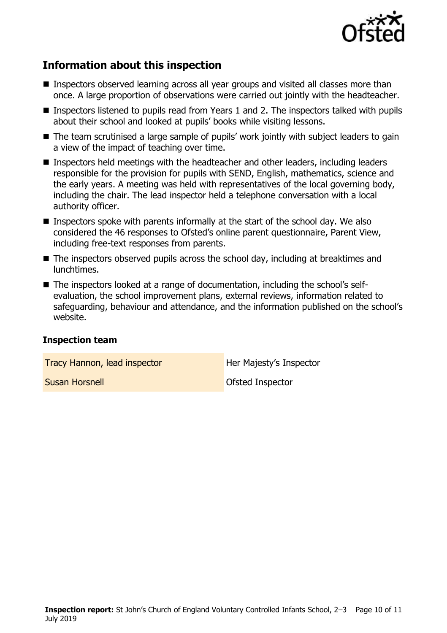

# **Information about this inspection**

- Inspectors observed learning across all year groups and visited all classes more than once. A large proportion of observations were carried out jointly with the headteacher.
- Inspectors listened to pupils read from Years 1 and 2. The inspectors talked with pupils about their school and looked at pupils' books while visiting lessons.
- The team scrutinised a large sample of pupils' work jointly with subject leaders to gain a view of the impact of teaching over time.
- Inspectors held meetings with the headteacher and other leaders, including leaders responsible for the provision for pupils with SEND, English, mathematics, science and the early years. A meeting was held with representatives of the local governing body, including the chair. The lead inspector held a telephone conversation with a local authority officer.
- $\blacksquare$  Inspectors spoke with parents informally at the start of the school day. We also considered the 46 responses to Ofsted's online parent questionnaire, Parent View, including free-text responses from parents.
- The inspectors observed pupils across the school day, including at breaktimes and lunchtimes.
- The inspectors looked at a range of documentation, including the school's selfevaluation, the school improvement plans, external reviews, information related to safeguarding, behaviour and attendance, and the information published on the school's website.

#### **Inspection team**

**Tracy Hannon, lead inspector** Her Majesty's Inspector

**Susan Horsnell Contract Contract Contract Contract Contract Contract Contract Contract Contract Contract Contract Contract Contract Contract Contract Contract Contract Contract Contract Contract Contract Contract Contract**